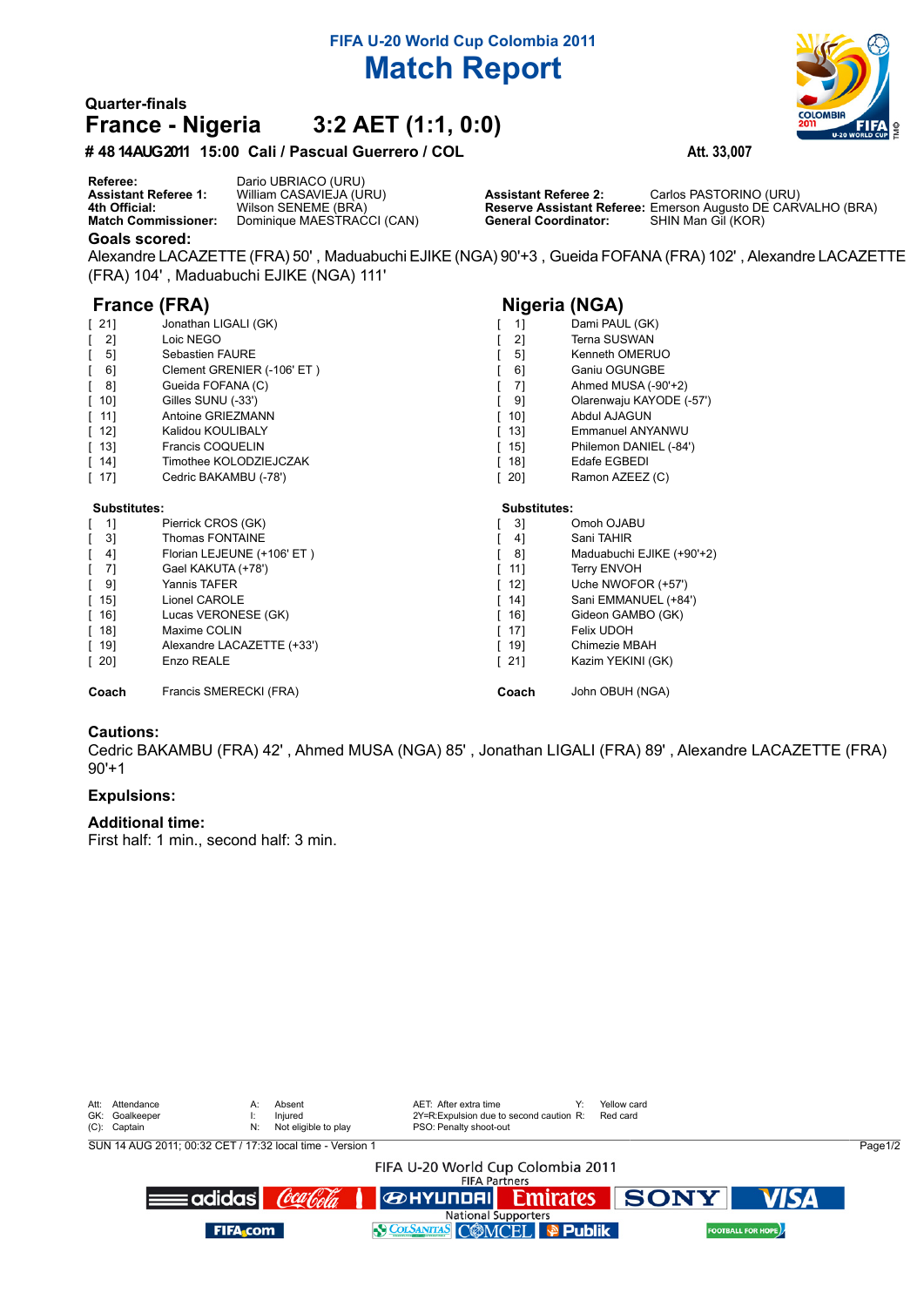# **FIFA U-20 World Cup Colombia 2011 Match Report**

# **Quarter-finals France - Nigeria 3:2 AET (1:1, 0:0)**

**# 4814 AUG 2011 15:00 Cali / Pascual Guerrero / COL Att. 33,007**

**Goals scored: Referee:** Dario UBRIACO (URU) **Assistant Referee 1:** William CASAVIEJA (URU) **Assistant Referee 2:** Carlos PASTORINO (URU) **4th Official:** Wilson SENEME (BRA) **Reserve Assistant Referee:** Emerson Augusto DE CARVALHO (BRA) Dominique MAESTRACCI (CAN)

Alexandre LACAZETTE (FRA) 50' , Maduabuchi EJIKE (NGA) 90'+3 , Gueida FOFANA (FRA) 102' , Alexandre LACAZETTE (FRA) 104' , Maduabuchi EJIKE (NGA) 111'

## **France (FRA) Nigeria (NGA)**

| $\lceil 21 \rceil$                 | Jonathan LIGALI (GK)       | 1]                  | Dami PAUL (GK)            |  |
|------------------------------------|----------------------------|---------------------|---------------------------|--|
| $\begin{bmatrix} 2 \end{bmatrix}$  | Loic NEGO                  | 21                  | <b>Terna SUSWAN</b>       |  |
| 5]<br>$\mathbf{L}$                 | Sebastien FAURE            | 51                  | Kenneth OMERUO            |  |
| 61                                 | Clement GRENIER (-106' ET) | 61                  | Ganiu OGUNGBE             |  |
| [8]                                | Gueida FOFANA (C)          | 71                  | Ahmed MUSA (-90'+2)       |  |
| $[10]$                             | Gilles SUNU (-33')         | 91                  | Olarenwaju KAYODE (-57')  |  |
| [11]                               | Antoine GRIEZMANN          | $10$ ]              | Abdul AJAGUN              |  |
| $[12]$                             | Kalidou KOULIBALY          | 13]                 | Emmanuel ANYANWU          |  |
| $\lceil$ 13]                       | Francis COQUELIN           | $15$ ]              | Philemon DANIEL (-84')    |  |
| $[14]$                             | Timothee KOLODZIEJCZAK     | 18]                 | Edafe EGBEDI              |  |
| [17]                               | Cedric BAKAMBU (-78')      | $\lceil 20 \rceil$  | Ramon AZEEZ (C)           |  |
| Substitutes:                       |                            | <b>Substitutes:</b> |                           |  |
| $[ 1]$                             | Pierrick CROS (GK)         | 31                  | Omoh OJABU                |  |
| [3]                                | <b>Thomas FONTAINE</b>     | 4]                  | Sani TAHIR                |  |
| $[4]$                              | Florian LEJEUNE (+106' ET) | 81                  | Maduabuchi EJIKE (+90'+2) |  |
| -7]                                | Gael KAKUTA (+78')         | 11]                 | <b>Terry ENVOH</b>        |  |
| - 91                               | Yannis TAFER               | 12]                 | Uche NWOFOR (+57')        |  |
| $\lceil$ 15]                       | Lionel CAROLE              | 14]                 | Sani EMMANUEL (+84')      |  |
| $\begin{bmatrix} 16 \end{bmatrix}$ | Lucas VERONESE (GK)        | 16]                 | Gideon GAMBO (GK)         |  |
| $\lceil$ 18]                       | Maxime COLIN               | 17]                 | Felix UDOH                |  |
| $\lceil$ 19]                       | Alexandre LACAZETTE (+33') | $\lceil$ 19]        | Chimezie MBAH             |  |
| $\lceil 20 \rceil$                 | Enzo REALE                 | $[21]$              | Kazim YEKINI (GK)         |  |
| Coach                              | Francis SMERECKI (FRA)     | Coach               | John OBUH (NGA)           |  |

### **Cautions:**

Cedric BAKAMBU (FRA) 42' , Ahmed MUSA (NGA) 85' , Jonathan LIGALI (FRA) 89' , Alexandre LACAZETTE (FRA)  $90'+1$ 

### **Expulsions:**

### **Additional time:**

First half: 1 min., second half: 3 min.